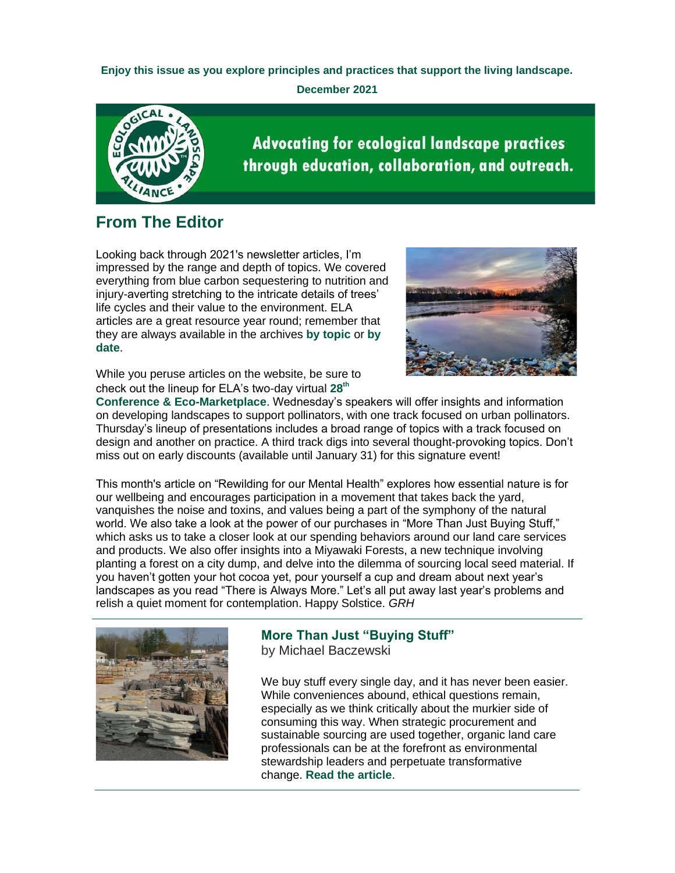**Enjoy this issue as you explore principles and practices that support the living landscape.**

**December 2021**



**Advocating for ecological landscape practices** through education, collaboration, and outreach.

## **From The Editor**

Looking back through 2021's newsletter articles, I'm impressed by the range and depth of topics. We covered everything from blue carbon sequestering to nutrition and injury-averting stretching to the intricate details of trees' life cycles and their value to the environment. ELA articles are a great resource year round; remember that they are always available in the archives **[by topic](https://r20.rs6.net/tn.jsp?f=001IZqFAGNN9wKMqxWmXjekIsY540JcLZyjYNhdiKW87EPCIMGmHIqGlN7TQBPlKfbUUGB0jZfopDIGc68ifxNbJmAOFwp4VdAMPX8kgX742gpR9Uz3IWNTJqTpdOUlEvc973zRmOPSKeXEIjHwlrWbVyYsYXn0MTpV0KUG8UjACFw=&c=w9-lEzoSbRsZOWy6vlmE0fbSR-ITp2LcCOgQpKsvoB4u_GlIYYpq2A==&ch=-N6DkPvhqcXsrAmjtxihP4KCiApqhKu-VX6T2lttJaKHcui7Au-s8w==)** or **[by](https://r20.rs6.net/tn.jsp?f=001IZqFAGNN9wKMqxWmXjekIsY540JcLZyjYNhdiKW87EPCIMGmHIqGlF-av35yaJ-pVGXccf1Gt8QDFxWIyF5c7tpLUs0TJ13BQokq4zwlWN-bmmPD2jspWCKCDohFpRyAZsMYl3-_osYif5o79W4XJs_1GsLqLXtjwYEAG72bfqg=&c=w9-lEzoSbRsZOWy6vlmE0fbSR-ITp2LcCOgQpKsvoB4u_GlIYYpq2A==&ch=-N6DkPvhqcXsrAmjtxihP4KCiApqhKu-VX6T2lttJaKHcui7Au-s8w==)  [date](https://r20.rs6.net/tn.jsp?f=001IZqFAGNN9wKMqxWmXjekIsY540JcLZyjYNhdiKW87EPCIMGmHIqGlF-av35yaJ-pVGXccf1Gt8QDFxWIyF5c7tpLUs0TJ13BQokq4zwlWN-bmmPD2jspWCKCDohFpRyAZsMYl3-_osYif5o79W4XJs_1GsLqLXtjwYEAG72bfqg=&c=w9-lEzoSbRsZOWy6vlmE0fbSR-ITp2LcCOgQpKsvoB4u_GlIYYpq2A==&ch=-N6DkPvhqcXsrAmjtxihP4KCiApqhKu-VX6T2lttJaKHcui7Au-s8w==)**.



While you peruse articles on the website, be sure to check out the lineup for ELA's two-day virtual **[28](https://r20.rs6.net/tn.jsp?f=001IZqFAGNN9wKMqxWmXjekIsY540JcLZyjYNhdiKW87EPCIMGmHIqGlF-av35yaJ-pYlvQ7MgejmU145rtuQv81HHGHCVVXZn1w0FFu1LEwDiKzMWQbal3fW8M7M6UGcOdmc_42Jzk2sZikXcOTZk4fvORJ1UU_MxuMU0KDPG49NB1zxd-54q7F9RJ0GNr3l8XDDkp2Du3ZqDrFiAtZnHPXCo_NJkh89PzohZ_0zy_2mM=&c=w9-lEzoSbRsZOWy6vlmE0fbSR-ITp2LcCOgQpKsvoB4u_GlIYYpq2A==&ch=-N6DkPvhqcXsrAmjtxihP4KCiApqhKu-VX6T2lttJaKHcui7Au-s8w==)[th](https://r20.rs6.net/tn.jsp?f=001IZqFAGNN9wKMqxWmXjekIsY540JcLZyjYNhdiKW87EPCIMGmHIqGlF-av35yaJ-pYlvQ7MgejmU145rtuQv81HHGHCVVXZn1w0FFu1LEwDiKzMWQbal3fW8M7M6UGcOdmc_42Jzk2sZikXcOTZk4fvORJ1UU_MxuMU0KDPG49NB1zxd-54q7F9RJ0GNr3l8XDDkp2Du3ZqDrFiAtZnHPXCo_NJkh89PzohZ_0zy_2mM=&c=w9-lEzoSbRsZOWy6vlmE0fbSR-ITp2LcCOgQpKsvoB4u_GlIYYpq2A==&ch=-N6DkPvhqcXsrAmjtxihP4KCiApqhKu-VX6T2lttJaKHcui7Au-s8w==)**

**[Conference & Eco-Marketplace](https://r20.rs6.net/tn.jsp?f=001IZqFAGNN9wKMqxWmXjekIsY540JcLZyjYNhdiKW87EPCIMGmHIqGlF-av35yaJ-pYlvQ7MgejmU145rtuQv81HHGHCVVXZn1w0FFu1LEwDiKzMWQbal3fW8M7M6UGcOdmc_42Jzk2sZikXcOTZk4fvORJ1UU_MxuMU0KDPG49NB1zxd-54q7F9RJ0GNr3l8XDDkp2Du3ZqDrFiAtZnHPXCo_NJkh89PzohZ_0zy_2mM=&c=w9-lEzoSbRsZOWy6vlmE0fbSR-ITp2LcCOgQpKsvoB4u_GlIYYpq2A==&ch=-N6DkPvhqcXsrAmjtxihP4KCiApqhKu-VX6T2lttJaKHcui7Au-s8w==)**. Wednesday's speakers will offer insights and information on developing landscapes to support pollinators, with one track focused on urban pollinators. Thursday's lineup of presentations includes a broad range of topics with a track focused on design and another on practice. A third track digs into several thought-provoking topics. Don't miss out on early discounts (available until January 31) for this signature event!

This month's article on "Rewilding for our Mental Health" explores how essential nature is for our wellbeing and encourages participation in a movement that takes back the yard, vanquishes the noise and toxins, and values being a part of the symphony of the natural world. We also take a look at the power of our purchases in "More Than Just Buying Stuff," which asks us to take a closer look at our spending behaviors around our land care services and products. We also offer insights into a Miyawaki Forests, a new technique involving planting a forest on a city dump, and delve into the dilemma of sourcing local seed material. If you haven't gotten your hot cocoa yet, pour yourself a cup and dream about next year's landscapes as you read "There is Always More." Let's all put away last year's problems and relish a quiet moment for contemplation. Happy Solstice. *GRH*



## **More Than Just "Buying Stuff"**

by Michael Baczewski

We buy stuff every single day, and it has never been easier. While conveniences abound, ethical questions remain, especially as we think critically about the murkier side of consuming this way. When strategic procurement and sustainable sourcing are used together, organic land care professionals can be at the forefront as environmental stewardship leaders and perpetuate transformative change. **[Read the article](https://r20.rs6.net/tn.jsp?f=001IZqFAGNN9wKMqxWmXjekIsY540JcLZyjYNhdiKW87EPCIMGmHIqGlF-av35yaJ-pdFZy-N1b3ZA_fSfhHZcqb4jrAfM4ARkM6UP878THI7-2VoVdeiX4XRVGSJ7I8XYI9QBqbM6mKLEQU7wguJ7Fv-drp9XwKSUC5Ja3rWBTSd73Aq1HFGsyB90qXzAKNoRyRNs3wwxwjHfwm4XE14VbzH7EQHNgWmqULYOQbkiLkaI=&c=w9-lEzoSbRsZOWy6vlmE0fbSR-ITp2LcCOgQpKsvoB4u_GlIYYpq2A==&ch=-N6DkPvhqcXsrAmjtxihP4KCiApqhKu-VX6T2lttJaKHcui7Au-s8w==)**.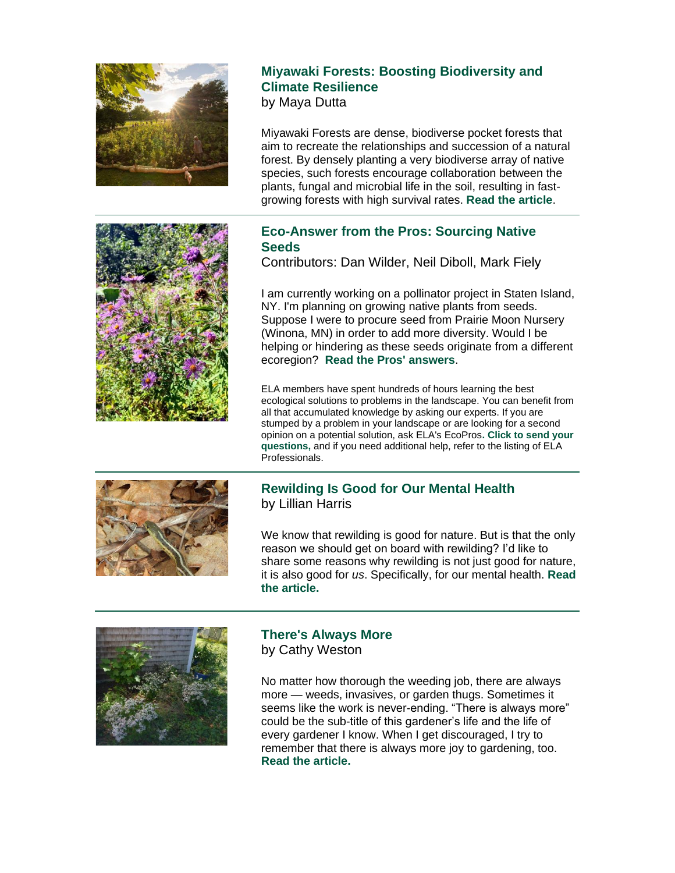

## **Miyawaki Forests: Boosting Biodiversity and Climate Resilience**

by Maya Dutta

Miyawaki Forests are dense, biodiverse pocket forests that aim to recreate the relationships and succession of a natural forest. By densely planting a very biodiverse array of native species, such forests encourage collaboration between the plants, fungal and microbial life in the soil, resulting in fastgrowing forests with high survival rates. **[Read the article](https://r20.rs6.net/tn.jsp?f=001IZqFAGNN9wKMqxWmXjekIsY540JcLZyjYNhdiKW87EPCIMGmHIqGlF-av35yaJ-pAM9KSzElJNK0L063cSEoJCJjdBzjcCA8ZVXP-yku1Wq-qHZf7B9XhuXlpFVoG-UlliFc85YyCGuWq-eWVfgjYuR3TA6R622Kbvd7U2C9wpizyMG5E6oOiaastyhbN04EtPUTo6BinWeIR79tWAfV7yJMOGUn8miWyGVX0VLGMLtVNtMAy94zzZ2JFWZ9BKD-t1lQxPMmCQk=&c=w9-lEzoSbRsZOWy6vlmE0fbSR-ITp2LcCOgQpKsvoB4u_GlIYYpq2A==&ch=-N6DkPvhqcXsrAmjtxihP4KCiApqhKu-VX6T2lttJaKHcui7Au-s8w==)**.



## **Eco-Answer from the Pros: Sourcing Native Seeds**

Contributors: Dan Wilder, Neil Diboll, Mark Fiely

I am currently working on a pollinator project in Staten Island, NY. I'm planning on growing native plants from seeds. Suppose I were to procure seed from Prairie Moon Nursery (Winona, MN) in order to add more diversity. Would I be helping or hindering as these seeds originate from a different ecoregion? **[Read the Pros' answers](https://r20.rs6.net/tn.jsp?f=001IZqFAGNN9wKMqxWmXjekIsY540JcLZyjYNhdiKW87EPCIMGmHIqGlF-av35yaJ-pzAdyqZ4IfDgc1SX2VVCEX1RTtr2mRJhPwFNMyfWnQWoUC6_w_dHmkMHCN8Pr9HmZTi7tNqmig8nepk0wzCx4GeKgeds9-uteO5ryL3HKwXVX-vMIikuLDq8UCPE7AlfAg9CASwQJzSCUnKEdFYN2sdX0SqeeJZKyiQ0SP9qBsl0PDENvhGvONIA-Cw2xYlVuDhIWMAAfJYA=&c=w9-lEzoSbRsZOWy6vlmE0fbSR-ITp2LcCOgQpKsvoB4u_GlIYYpq2A==&ch=-N6DkPvhqcXsrAmjtxihP4KCiApqhKu-VX6T2lttJaKHcui7Au-s8w==)**.

ELA members have spent hundreds of hours learning the best ecological solutions to problems in the landscape. You can benefit from all that accumulated knowledge by asking our experts. If you are stumped by a problem in your landscape or are looking for a second opinion on a potential solution, ask ELA's EcoPros**. Click to [send your](mailto:newsletter@ecolandscaping.org)  [questions,](mailto:newsletter@ecolandscaping.org)** and if you need additional help, refer to the listing of ELA Professionals.



## **Rewilding Is Good for Our Mental Health** by Lillian Harris

We know that rewilding is good for nature. But is that the only reason we should get on board with rewilding? I'd like to share some reasons why rewilding is not just good for nature, it is also good for *us*. Specifically, for our mental health. **[Read](https://r20.rs6.net/tn.jsp?f=001IZqFAGNN9wKMqxWmXjekIsY540JcLZyjYNhdiKW87EPCIMGmHIqGlF-av35yaJ-p_hTEbUzDWhhjoyDonu1EEvrmjK0NJrWYT3JRDVM8X4whdyIOqXHiNAfuWKN3LSlslPMQZMjG9jbdjMCIDdv9Fwi3rU-EiDqnXwbOauCvHKAYhSk130RnGCRTlu7gQdhAS64NIAeCuQfYaU5d4DWvdB9UUtfZYemwPcywW2tDOa4H85bFE6p8n6Haks-tj50ew5xGaH2AFTA5rDtT1hCaAPiUOyCoFg5R&c=w9-lEzoSbRsZOWy6vlmE0fbSR-ITp2LcCOgQpKsvoB4u_GlIYYpq2A==&ch=-N6DkPvhqcXsrAmjtxihP4KCiApqhKu-VX6T2lttJaKHcui7Au-s8w==)  [the article.](https://r20.rs6.net/tn.jsp?f=001IZqFAGNN9wKMqxWmXjekIsY540JcLZyjYNhdiKW87EPCIMGmHIqGlF-av35yaJ-p_hTEbUzDWhhjoyDonu1EEvrmjK0NJrWYT3JRDVM8X4whdyIOqXHiNAfuWKN3LSlslPMQZMjG9jbdjMCIDdv9Fwi3rU-EiDqnXwbOauCvHKAYhSk130RnGCRTlu7gQdhAS64NIAeCuQfYaU5d4DWvdB9UUtfZYemwPcywW2tDOa4H85bFE6p8n6Haks-tj50ew5xGaH2AFTA5rDtT1hCaAPiUOyCoFg5R&c=w9-lEzoSbRsZOWy6vlmE0fbSR-ITp2LcCOgQpKsvoB4u_GlIYYpq2A==&ch=-N6DkPvhqcXsrAmjtxihP4KCiApqhKu-VX6T2lttJaKHcui7Au-s8w==)**



### **There's Always More** by Cathy Weston

No matter how thorough the weeding job, there are always more — weeds, invasives, or garden thugs. Sometimes it seems like the work is never-ending. "There is always more" could be the sub-title of this gardener's life and the life of every gardener I know. When I get discouraged, I try to remember that there is always more joy to gardening, too. **[Read the article.](https://r20.rs6.net/tn.jsp?f=001IZqFAGNN9wKMqxWmXjekIsY540JcLZyjYNhdiKW87EPCIMGmHIqGlF-av35yaJ-pZlP42YEdvrj_ml1pfncHDKkJfYfnygMMWzNbYnpsBdksua5NKGZlXWTrdsiDYZhbS-NgmVC3zh5S6nKPRWAaOaJRzYTjg5qtATqtZ8JOaOSEgptmQ7Kl3iWnEoHXizrKWk9BJkZT1FziN-gumbuFO3A-wstLEx9-fIuvjzIzxmeuFS1ChekaJI2UgiCGtlJrf5O5XvGlM1E=&c=w9-lEzoSbRsZOWy6vlmE0fbSR-ITp2LcCOgQpKsvoB4u_GlIYYpq2A==&ch=-N6DkPvhqcXsrAmjtxihP4KCiApqhKu-VX6T2lttJaKHcui7Au-s8w==)**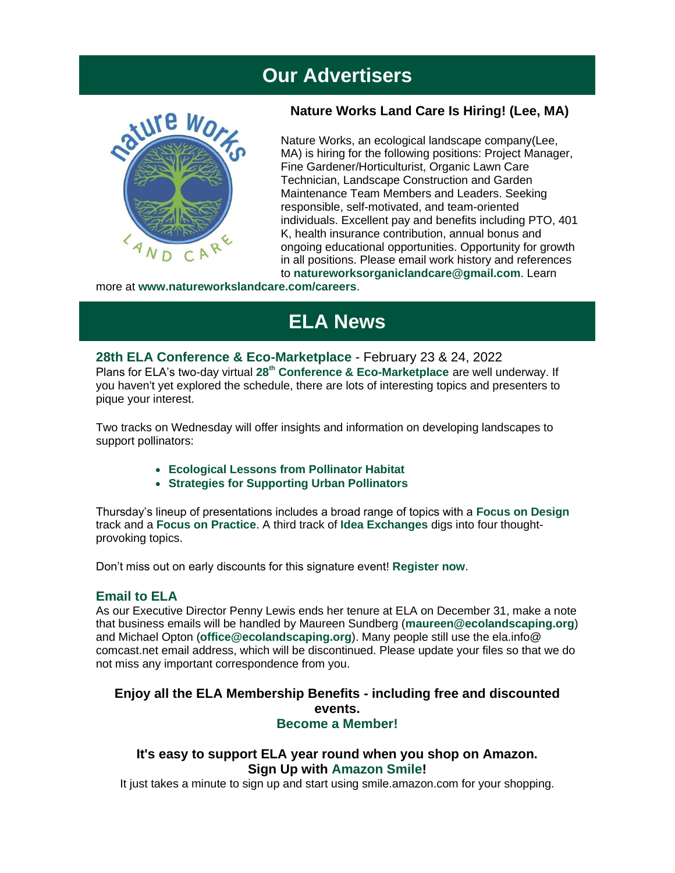# **Our Advertisers**



### **Nature Works Land Care Is Hiring! (Lee, MA)**

Nature Works, an ecological landscape company(Lee, MA) is hiring for the following positions: Project Manager, Fine Gardener/Horticulturist, Organic Lawn Care Technician, Landscape Construction and Garden Maintenance Team Members and Leaders. Seeking responsible, self-motivated, and team-oriented individuals. Excellent pay and benefits including PTO, 401 K, health insurance contribution, annual bonus and ongoing educational opportunities. Opportunity for growth in all positions. Please email work history and references to **[natureworksorganiclandcare@gmail.com](mailto:natureworksorganiclandcare@gmail.com)**. Learn

more at **www[.natureworkslandcare.com/careers](https://r20.rs6.net/tn.jsp?f=001IZqFAGNN9wKMqxWmXjekIsY540JcLZyjYNhdiKW87EPCIMGmHIqGlF-av35yaJ-pauRq78EK_EpPEHtRSwvReMFG8ATbx2YRfWJHdYQ0_OU0ch98FUK0ZyoyfqifOs7DN4I1p7_7mb5lMLLUbnpiLETlEKLVs24aaItUpcgLIMY=&c=w9-lEzoSbRsZOWy6vlmE0fbSR-ITp2LcCOgQpKsvoB4u_GlIYYpq2A==&ch=-N6DkPvhqcXsrAmjtxihP4KCiApqhKu-VX6T2lttJaKHcui7Au-s8w==)**.

# **ELA News**

**[28th ELA Conference & Eco-Marketplace](https://r20.rs6.net/tn.jsp?f=001IZqFAGNN9wKMqxWmXjekIsY540JcLZyjYNhdiKW87EPCIMGmHIqGlIOU9WRQgpqhxiqUEwXNKshL0IlNTfhAw7-iX3bQHqkc-19DSr4oH241Eyq_X1LSx5LtWNYASSmcEx_c45moAxOcjcYDDrpeiBslo5Bl57DfZjzq-tURi34dt5Jzk5m-51rO5VWDPFLc4FehMovDC6Q5CERwXGW_Cw==&c=w9-lEzoSbRsZOWy6vlmE0fbSR-ITp2LcCOgQpKsvoB4u_GlIYYpq2A==&ch=-N6DkPvhqcXsrAmjtxihP4KCiApqhKu-VX6T2lttJaKHcui7Au-s8w==)** - February 23 & 24, 2022 Plans for ELA's two-day virtual **[28](https://r20.rs6.net/tn.jsp?f=001IZqFAGNN9wKMqxWmXjekIsY540JcLZyjYNhdiKW87EPCIMGmHIqGlF-av35yaJ-pYlvQ7MgejmU145rtuQv81HHGHCVVXZn1w0FFu1LEwDiKzMWQbal3fW8M7M6UGcOdmc_42Jzk2sZikXcOTZk4fvORJ1UU_MxuMU0KDPG49NB1zxd-54q7F9RJ0GNr3l8XDDkp2Du3ZqDrFiAtZnHPXCo_NJkh89PzohZ_0zy_2mM=&c=w9-lEzoSbRsZOWy6vlmE0fbSR-ITp2LcCOgQpKsvoB4u_GlIYYpq2A==&ch=-N6DkPvhqcXsrAmjtxihP4KCiApqhKu-VX6T2lttJaKHcui7Au-s8w==)[th](https://r20.rs6.net/tn.jsp?f=001IZqFAGNN9wKMqxWmXjekIsY540JcLZyjYNhdiKW87EPCIMGmHIqGlF-av35yaJ-pYlvQ7MgejmU145rtuQv81HHGHCVVXZn1w0FFu1LEwDiKzMWQbal3fW8M7M6UGcOdmc_42Jzk2sZikXcOTZk4fvORJ1UU_MxuMU0KDPG49NB1zxd-54q7F9RJ0GNr3l8XDDkp2Du3ZqDrFiAtZnHPXCo_NJkh89PzohZ_0zy_2mM=&c=w9-lEzoSbRsZOWy6vlmE0fbSR-ITp2LcCOgQpKsvoB4u_GlIYYpq2A==&ch=-N6DkPvhqcXsrAmjtxihP4KCiApqhKu-VX6T2lttJaKHcui7Au-s8w==) [Conference & Eco-Marketplace](https://r20.rs6.net/tn.jsp?f=001IZqFAGNN9wKMqxWmXjekIsY540JcLZyjYNhdiKW87EPCIMGmHIqGlF-av35yaJ-pYlvQ7MgejmU145rtuQv81HHGHCVVXZn1w0FFu1LEwDiKzMWQbal3fW8M7M6UGcOdmc_42Jzk2sZikXcOTZk4fvORJ1UU_MxuMU0KDPG49NB1zxd-54q7F9RJ0GNr3l8XDDkp2Du3ZqDrFiAtZnHPXCo_NJkh89PzohZ_0zy_2mM=&c=w9-lEzoSbRsZOWy6vlmE0fbSR-ITp2LcCOgQpKsvoB4u_GlIYYpq2A==&ch=-N6DkPvhqcXsrAmjtxihP4KCiApqhKu-VX6T2lttJaKHcui7Au-s8w==)** are well underway. If you haven't yet explored the schedule, there are lots of interesting topics and presenters to pique your interest.

Two tracks on Wednesday will offer insights and information on developing landscapes to support pollinators:

- **[Ecological Lessons from Pollinator Habitat](https://r20.rs6.net/tn.jsp?f=001IZqFAGNN9wKMqxWmXjekIsY540JcLZyjYNhdiKW87EPCIMGmHIqGlIIGQKaj3mJGeJGeuIx0TC8vmL3LJEDrNCX0ymDcTGoU5Lo4hMwOZxAioluolfxbeoYyG1xKpsPH7rESRdFgfXeLoqkNVQOr5AtorizAFbAoyKW90XsUYHzj6vLBBzyNKFQkAh-9InA-aAuErbyzJmMXlcBaqgXhZigiBHDDFy62&c=w9-lEzoSbRsZOWy6vlmE0fbSR-ITp2LcCOgQpKsvoB4u_GlIYYpq2A==&ch=-N6DkPvhqcXsrAmjtxihP4KCiApqhKu-VX6T2lttJaKHcui7Au-s8w==)**
- **Strategies [for Supporting Urban Pollinators](https://r20.rs6.net/tn.jsp?f=001IZqFAGNN9wKMqxWmXjekIsY540JcLZyjYNhdiKW87EPCIMGmHIqGlIIGQKaj3mJGW2wZGz5OAEjkvQq9o1fpmn3AYRHDWJm32LHcq5dE4HQ5Rl5-ICeHDHJ3mAf9vPzs8Sm6nYTjZamJkL5XcCF_8EuIxoxNadeoZl0xYfQJhiDSKT_WUkkvd_xDDGqaK9qUvkCeePvE62cPQ93LcvI4ohgiWJkw2O-shI0NqIBoTMDDQwSmkF7R94sPSywf-N21lqimdwxXVY8=&c=w9-lEzoSbRsZOWy6vlmE0fbSR-ITp2LcCOgQpKsvoB4u_GlIYYpq2A==&ch=-N6DkPvhqcXsrAmjtxihP4KCiApqhKu-VX6T2lttJaKHcui7Au-s8w==)**

Thursday's lineup of presentations includes a broad range of topics with a **[Focus on Design](https://r20.rs6.net/tn.jsp?f=001IZqFAGNN9wKMqxWmXjekIsY540JcLZyjYNhdiKW87EPCIMGmHIqGlIIGQKaj3mJG2COzqUCnHB5pMsMywYQ6DLcYvsUWUxg1VIBj302Ikzol5V61u7xit4zl3Hxo1Ksk8A4hq8ZqCAmhgreK2edc1jm_H-PiX7rgpvfyQlljLfpvujSy2HnQ6X3HZXrPLVQfnXCEU3jbT3Va8Yth3PB_0A==&c=w9-lEzoSbRsZOWy6vlmE0fbSR-ITp2LcCOgQpKsvoB4u_GlIYYpq2A==&ch=-N6DkPvhqcXsrAmjtxihP4KCiApqhKu-VX6T2lttJaKHcui7Au-s8w==)** track and a **[Focus on Practice](https://r20.rs6.net/tn.jsp?f=001IZqFAGNN9wKMqxWmXjekIsY540JcLZyjYNhdiKW87EPCIMGmHIqGlIIGQKaj3mJGztuKxTygCiFQbtP6HIK8Sq9ytGpO_XjbS_si2VmoB2ahN3zjb98UQ6aBovsjZO35_LgqpXqbDBOX_SACWbWhNVUxFmioe_3_i5183t_9NsMiyhCUpsdwxd-yt1KYCygu6YeQZfKymPNKugSWBpPgoB_BJdneUQpoz8HgOt2Qeh0=&c=w9-lEzoSbRsZOWy6vlmE0fbSR-ITp2LcCOgQpKsvoB4u_GlIYYpq2A==&ch=-N6DkPvhqcXsrAmjtxihP4KCiApqhKu-VX6T2lttJaKHcui7Au-s8w==)**. A third track of **[Idea Exchanges](https://r20.rs6.net/tn.jsp?f=001IZqFAGNN9wKMqxWmXjekIsY540JcLZyjYNhdiKW87EPCIMGmHIqGlIIGQKaj3mJGyNWrys_SV9MOhtrp0M5D5CIxvGYn7cPSFiVpr59eAoxkH2fPXElOjiEZ69g-3VMVkT4bVQrRO2bjPxkh7AG53Wk5BWu842jOZ3UMznusE5YQxcCT8F_Mum1e1mk5wohzKutk75MFoy_bREubsK6hiw==&c=w9-lEzoSbRsZOWy6vlmE0fbSR-ITp2LcCOgQpKsvoB4u_GlIYYpq2A==&ch=-N6DkPvhqcXsrAmjtxihP4KCiApqhKu-VX6T2lttJaKHcui7Au-s8w==)** digs into four thoughtprovoking topics.

Don't miss out on early discounts for this signature event! **[Register now](https://r20.rs6.net/tn.jsp?f=001IZqFAGNN9wKMqxWmXjekIsY540JcLZyjYNhdiKW87EPCIMGmHIqGlIOU9WRQgpqhxiqUEwXNKshL0IlNTfhAw7-iX3bQHqkc-19DSr4oH241Eyq_X1LSx5LtWNYASSmcEx_c45moAxOcjcYDDrpeiBslo5Bl57DfZjzq-tURi34dt5Jzk5m-51rO5VWDPFLc4FehMovDC6Q5CERwXGW_Cw==&c=w9-lEzoSbRsZOWy6vlmE0fbSR-ITp2LcCOgQpKsvoB4u_GlIYYpq2A==&ch=-N6DkPvhqcXsrAmjtxihP4KCiApqhKu-VX6T2lttJaKHcui7Au-s8w==)**.

#### **Email to ELA**

As our Executive Director Penny Lewis ends her tenure at ELA on December 31, make a note that business emails will be handled by Maureen Sundberg (**[maureen@ecolandscaping.org](mailto:maureen@ecolandscaping.org)**) and Michael Opton (**[office@ecolandscaping.org](mailto:office@ecolandscaping.org)**). Many people still use the ela.info@ comcast.net email address, which will be discontinued. Please update your files so that we do not miss any important correspondence from you.

### **Enjoy all the ELA Membership Benefits - including free and discounted events. [Become a Member!](https://r20.rs6.net/tn.jsp?f=001IZqFAGNN9wKMqxWmXjekIsY540JcLZyjYNhdiKW87EPCIMGmHIqGlEsFTSr83BxlRIJw7TEO4wnYL-RJSyxMDUZANjS6Q-ZB3cSp3Q6sw7_-LlxTRItiD2xdjyceBheEW8T26fnFl3a2KfZKFbr360aS72d1TzFp2dWZy7WkTNA=&c=w9-lEzoSbRsZOWy6vlmE0fbSR-ITp2LcCOgQpKsvoB4u_GlIYYpq2A==&ch=-N6DkPvhqcXsrAmjtxihP4KCiApqhKu-VX6T2lttJaKHcui7Au-s8w==)**

### **It's easy to support ELA year round when you shop on Amazon. Sign Up with [Amazon Smile!](https://r20.rs6.net/tn.jsp?f=001IZqFAGNN9wKMqxWmXjekIsY540JcLZyjYNhdiKW87EPCIMGmHIqGlN7TQBPlKfbUL3WXl1PE9ZpYgEnjUn7THMmqsgTM7S6DCgU9JdZVbyBdwxmlkmGxr7tA2UfQoHEyFwBxhxyGgWCq1DNuGLgTH0_mTCyS865bj8oGl9Mbnl4=&c=w9-lEzoSbRsZOWy6vlmE0fbSR-ITp2LcCOgQpKsvoB4u_GlIYYpq2A==&ch=-N6DkPvhqcXsrAmjtxihP4KCiApqhKu-VX6T2lttJaKHcui7Au-s8w==)**

It just takes a minute to sign up and start using smile.amazon.com for your shopping.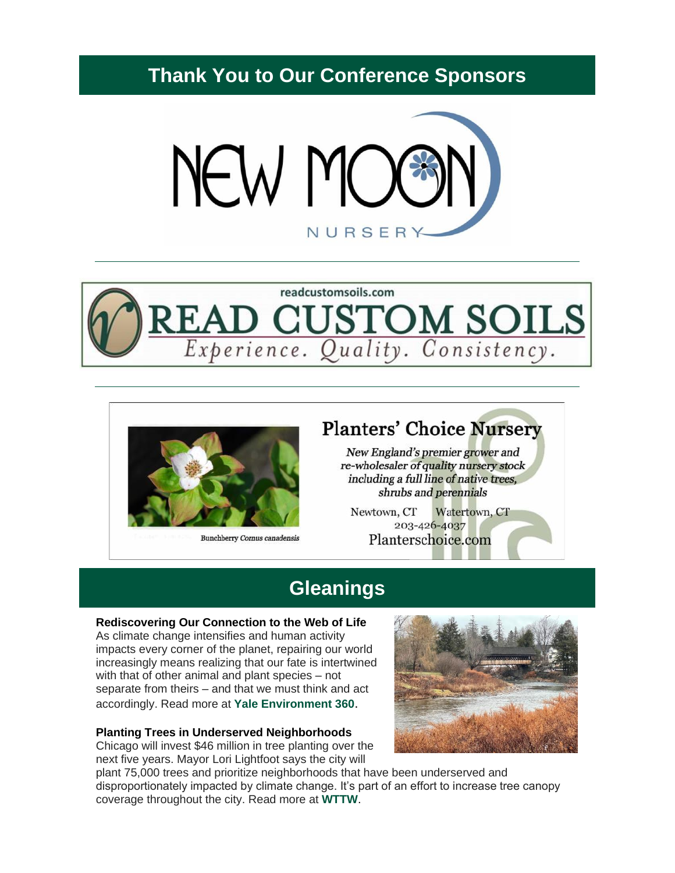# **Thank You to Our Conference Sponsors**







**Bunchberry Cornus canadensis** 

# **Planters' Choice Nursery**

New England's premier grower and re-wholesaler of quality nursery stock including a full line of native trees, shrubs and perennials

Newtown, CT Watertown, CT 203-426-4037 Planterschoice.com

# **Gleanings**

#### **Rediscovering Our Connection to the Web of Life**

As climate change intensifies and human activity impacts every corner of the planet, repairing our world increasingly means realizing that our fate is intertwined with that of other animal and plant species – not separate from theirs – and that we must think and act accordingly. Read more at **[Yale Environment 360](https://r20.rs6.net/tn.jsp?f=001IZqFAGNN9wKMqxWmXjekIsY540JcLZyjYNhdiKW87EPCIMGmHIqGlF-av35yaJ-p8Gc_RttSLpfYeG63cgjziUnliCyLpjSAYRJoUSPVWfspUo4hJNsZA5V7IYe9-NSJFPaThNR95tQ9jmip_K2-Fxokw9zfgy2nU3ZwR-r0mxAp-THLMI5f7_q6vX1Ngl-uSTnpedkfEzJvWGUep7zdIHEY0NZtS3gjTjgsx9P9wKQ0tFmTZLjGsg==&c=w9-lEzoSbRsZOWy6vlmE0fbSR-ITp2LcCOgQpKsvoB4u_GlIYYpq2A==&ch=-N6DkPvhqcXsrAmjtxihP4KCiApqhKu-VX6T2lttJaKHcui7Au-s8w==)**.

#### **Planting Trees in Underserved Neighborhoods**

Chicago will invest \$46 million in tree planting over the next five years. Mayor Lori Lightfoot says the city will



plant 75,000 trees and prioritize neighborhoods that have been underserved and disproportionately impacted by climate change. It's part of an effort to increase tree canopy coverage throughout the city. Read more at **[WTTW](https://r20.rs6.net/tn.jsp?f=001IZqFAGNN9wKMqxWmXjekIsY540JcLZyjYNhdiKW87EPCIMGmHIqGlF-av35yaJ-pZS9fJeS4-tIBiX9n5l_GPfofxBCZongzikHhxTkGi3LcIoOMlfqfrjSSKkarU8y1mZz1yqslJwCYHLJB3eA-7m9DpglUNCjIAYYtxyvGRxi0GKQOQx9WDQW9u1Vt3HSlFmge1Yu7oeBiwuTxLoMDdNysuUj7CE8g&c=w9-lEzoSbRsZOWy6vlmE0fbSR-ITp2LcCOgQpKsvoB4u_GlIYYpq2A==&ch=-N6DkPvhqcXsrAmjtxihP4KCiApqhKu-VX6T2lttJaKHcui7Au-s8w==)**.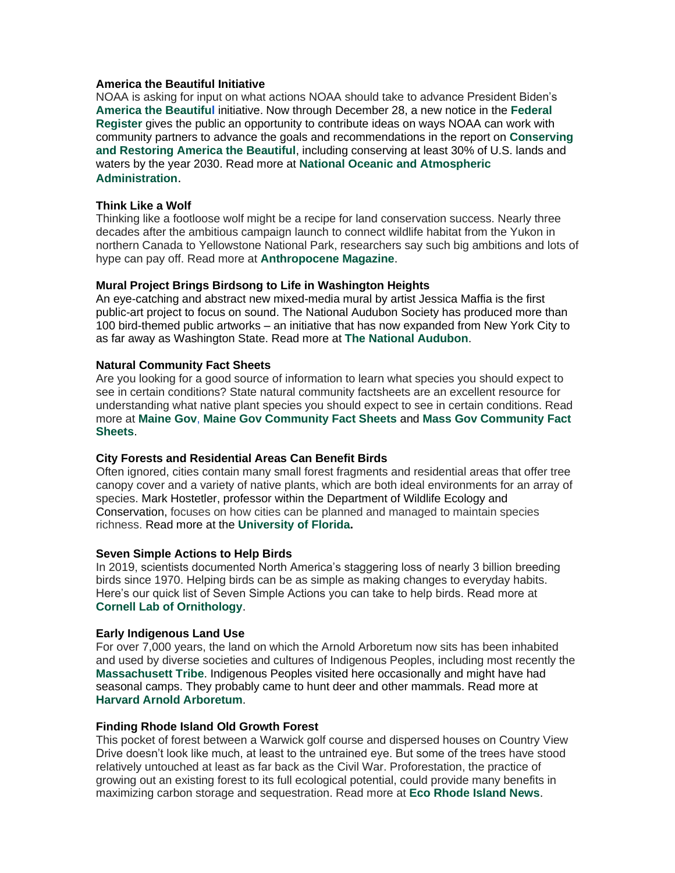#### **America the Beautiful Initiative**

NOAA is asking for input on what actions NOAA should take to advance President Biden's **[America the Beautiful](https://r20.rs6.net/tn.jsp?f=001IZqFAGNN9wKMqxWmXjekIsY540JcLZyjYNhdiKW87EPCIMGmHIqGlF-av35yaJ-p2lDbUOLjlg11HgU-i4TWvgsqLkKFd5UGhICaF3CiXo4e4VP15WMcih1p1gDjVz8qnws1vDo0ENQpqi5ivRyFBXSf1h_fVeBVccy86RAny0Q=&c=w9-lEzoSbRsZOWy6vlmE0fbSR-ITp2LcCOgQpKsvoB4u_GlIYYpq2A==&ch=-N6DkPvhqcXsrAmjtxihP4KCiApqhKu-VX6T2lttJaKHcui7Au-s8w==)** initiative. Now through December 28, a new notice in the **[Federal](https://r20.rs6.net/tn.jsp?f=001IZqFAGNN9wKMqxWmXjekIsY540JcLZyjYNhdiKW87EPCIMGmHIqGlF-av35yaJ-pjKfpEg4CGeLLKuKcE-9SJTq3A-qljSjYtSJ0KVg-ITo4KbLNuqWxKLF9QNZ-zQTDp4mlbBsEunGp2J9Po88Wu_sPNSwo9Z6uB-WlU-Db5Xs-jptpHeP3UW-awJJcc3aCSgZ2wJ2uXw4jUbbY-faS3rsB3-av-bPZaWWLd2FJqgAwEgIQxgzfoBmKCVjLtcUrRSnfH5JLHV18iDohvFJpOt7W5jH8aQBu0n50OBEHnRrBM0Sq_5XggaByprny9cNyYjPcPBn3KXaQ4EWiS317Bw==&c=w9-lEzoSbRsZOWy6vlmE0fbSR-ITp2LcCOgQpKsvoB4u_GlIYYpq2A==&ch=-N6DkPvhqcXsrAmjtxihP4KCiApqhKu-VX6T2lttJaKHcui7Au-s8w==)  [Register](https://r20.rs6.net/tn.jsp?f=001IZqFAGNN9wKMqxWmXjekIsY540JcLZyjYNhdiKW87EPCIMGmHIqGlF-av35yaJ-pjKfpEg4CGeLLKuKcE-9SJTq3A-qljSjYtSJ0KVg-ITo4KbLNuqWxKLF9QNZ-zQTDp4mlbBsEunGp2J9Po88Wu_sPNSwo9Z6uB-WlU-Db5Xs-jptpHeP3UW-awJJcc3aCSgZ2wJ2uXw4jUbbY-faS3rsB3-av-bPZaWWLd2FJqgAwEgIQxgzfoBmKCVjLtcUrRSnfH5JLHV18iDohvFJpOt7W5jH8aQBu0n50OBEHnRrBM0Sq_5XggaByprny9cNyYjPcPBn3KXaQ4EWiS317Bw==&c=w9-lEzoSbRsZOWy6vlmE0fbSR-ITp2LcCOgQpKsvoB4u_GlIYYpq2A==&ch=-N6DkPvhqcXsrAmjtxihP4KCiApqhKu-VX6T2lttJaKHcui7Au-s8w==)** gives the public an opportunity to contribute ideas on ways NOAA can work with community partners to advance the goals and recommendations in the report on **[Conserving](https://r20.rs6.net/tn.jsp?f=001IZqFAGNN9wKMqxWmXjekIsY540JcLZyjYNhdiKW87EPCIMGmHIqGlF-av35yaJ-pqBD0CExIoH-51anp_Jg1t5M4HGvCJsOn4_0E8yM4g2BMQMxEHTQILB5nUcfL4ah2bb1jgwKX1tAwxZ6ApswrdssYgEoRjJADhzKYQVQfpyBhk2kMqaKyuFvab-A6LOHZ_sgPC-bGajixhg_J-r2puc_DyyO5aKUnvCKiabzwY5Y=&c=w9-lEzoSbRsZOWy6vlmE0fbSR-ITp2LcCOgQpKsvoB4u_GlIYYpq2A==&ch=-N6DkPvhqcXsrAmjtxihP4KCiApqhKu-VX6T2lttJaKHcui7Au-s8w==)  [and Restoring America the Beautiful](https://r20.rs6.net/tn.jsp?f=001IZqFAGNN9wKMqxWmXjekIsY540JcLZyjYNhdiKW87EPCIMGmHIqGlF-av35yaJ-pqBD0CExIoH-51anp_Jg1t5M4HGvCJsOn4_0E8yM4g2BMQMxEHTQILB5nUcfL4ah2bb1jgwKX1tAwxZ6ApswrdssYgEoRjJADhzKYQVQfpyBhk2kMqaKyuFvab-A6LOHZ_sgPC-bGajixhg_J-r2puc_DyyO5aKUnvCKiabzwY5Y=&c=w9-lEzoSbRsZOWy6vlmE0fbSR-ITp2LcCOgQpKsvoB4u_GlIYYpq2A==&ch=-N6DkPvhqcXsrAmjtxihP4KCiApqhKu-VX6T2lttJaKHcui7Au-s8w==)**, including conserving at least 30% of U.S. lands and waters by the year 2030. Read more at **[National Oceanic and Atmospheric](https://r20.rs6.net/tn.jsp?f=001IZqFAGNN9wKMqxWmXjekIsY540JcLZyjYNhdiKW87EPCIMGmHIqGlF-av35yaJ-pfKtA-m8ZNivs7bmVlHiN7NIyc_NQLTKrUH947qypzK_PFFOBq1zxWbJIgO4QpSapef9lrrg7JEsitSLmB81fvh-CaRk788m9PJvRV82xHUNnKIbpP8mrppSqsJsMVoSe6h6fblnyxhuhJNdPZnn7LruqvXNN6EfaZHBVp7xfhFExi_iVY75Xzw==&c=w9-lEzoSbRsZOWy6vlmE0fbSR-ITp2LcCOgQpKsvoB4u_GlIYYpq2A==&ch=-N6DkPvhqcXsrAmjtxihP4KCiApqhKu-VX6T2lttJaKHcui7Au-s8w==)  [Administration](https://r20.rs6.net/tn.jsp?f=001IZqFAGNN9wKMqxWmXjekIsY540JcLZyjYNhdiKW87EPCIMGmHIqGlF-av35yaJ-pfKtA-m8ZNivs7bmVlHiN7NIyc_NQLTKrUH947qypzK_PFFOBq1zxWbJIgO4QpSapef9lrrg7JEsitSLmB81fvh-CaRk788m9PJvRV82xHUNnKIbpP8mrppSqsJsMVoSe6h6fblnyxhuhJNdPZnn7LruqvXNN6EfaZHBVp7xfhFExi_iVY75Xzw==&c=w9-lEzoSbRsZOWy6vlmE0fbSR-ITp2LcCOgQpKsvoB4u_GlIYYpq2A==&ch=-N6DkPvhqcXsrAmjtxihP4KCiApqhKu-VX6T2lttJaKHcui7Au-s8w==)**.

#### **Think Like a Wolf**

Thinking like a footloose wolf might be a recipe for land conservation success. Nearly three decades after the ambitious campaign launch to connect wildlife habitat from the Yukon in northern Canada to Yellowstone National Park, researchers say such big ambitions and lots of hype can pay off. Read more at **[Anthropocene Magazine](https://r20.rs6.net/tn.jsp?f=001IZqFAGNN9wKMqxWmXjekIsY540JcLZyjYNhdiKW87EPCIMGmHIqGlF-av35yaJ-p3nikoQETzjcK8hnEyaEnGUmB15u73tsaPtR7LOSIGzAAOpaSCxVGVbzWBc-P73g7mazs7J4VnWM6rLGud6au69geCRfKCRV_Dv780kgpQWfHKG2TONclwNeFZPxIb0yX_bRACGUDxEmaCkNU5NA5G4jVeJzTbM9wc0ykGfrfhg6aCpQJ4tfA00uoiMjIQabL7f70t7Sf2B3U-MRG9lmn76a_6wXFQL6tT4HPj_EQwHrfhCU4kcg35MPbbsHpwQ6d86bRRb_8Kfa-AzQsf-Q_RBZKe2s2I6c-aCVv3AeRxhxam058ai-KFHvciE9eqRpPdr454ORD614aoCrr49s-dcAGPzOU3ehzaNzB7DSxwOCWjrYRNq08GUYxKyYtz7JB7xqaT5A1Ti0=&c=w9-lEzoSbRsZOWy6vlmE0fbSR-ITp2LcCOgQpKsvoB4u_GlIYYpq2A==&ch=-N6DkPvhqcXsrAmjtxihP4KCiApqhKu-VX6T2lttJaKHcui7Au-s8w==)**.

#### **Mural Project Brings Birdsong to Life in Washington Heights**

An eye-catching and abstract new mixed-media mural by artist Jessica Maffia is the first public-art project to focus on sound. The National Audubon Society has produced more than 100 bird-themed public artworks – an initiative that has now expanded from New York City to as far away as Washington State. Read more a[t](https://r20.rs6.net/tn.jsp?f=001IZqFAGNN9wKMqxWmXjekIsY540JcLZyjYNhdiKW87EPCIMGmHIqGlF-av35yaJ-pTEzsi-J4jDYcJfKgs-AeEuePo5pfEvkUcsB6wnA5NWFVm-DV4rQTW31nD1N4GEq-K0NSNt_L8o6EqD6A8-EVA55g9vinRRfFVbZZ-f-rUr1P_NEijyOOtcb0LaHmxS3bn7GE8ciiUMhs3IeqADVz4lGtvgIkk_orrexVlZRggdLTu5RuqLTV7A==&c=w9-lEzoSbRsZOWy6vlmE0fbSR-ITp2LcCOgQpKsvoB4u_GlIYYpq2A==&ch=-N6DkPvhqcXsrAmjtxihP4KCiApqhKu-VX6T2lttJaKHcui7Au-s8w==) **[The National Audubon](https://r20.rs6.net/tn.jsp?f=001IZqFAGNN9wKMqxWmXjekIsY540JcLZyjYNhdiKW87EPCIMGmHIqGlF-av35yaJ-pTEzsi-J4jDYcJfKgs-AeEuePo5pfEvkUcsB6wnA5NWFVm-DV4rQTW31nD1N4GEq-K0NSNt_L8o6EqD6A8-EVA55g9vinRRfFVbZZ-f-rUr1P_NEijyOOtcb0LaHmxS3bn7GE8ciiUMhs3IeqADVz4lGtvgIkk_orrexVlZRggdLTu5RuqLTV7A==&c=w9-lEzoSbRsZOWy6vlmE0fbSR-ITp2LcCOgQpKsvoB4u_GlIYYpq2A==&ch=-N6DkPvhqcXsrAmjtxihP4KCiApqhKu-VX6T2lttJaKHcui7Au-s8w==)**.

#### **Natural Community Fact Sheets**

Are you looking for a good source of information to learn what species you should expect to see in certain conditions? State natural community factsheets are an excellent resource for understanding what native plant species you should expect to see in certain conditions. Read more at **[Maine Gov](https://r20.rs6.net/tn.jsp?f=001IZqFAGNN9wKMqxWmXjekIsY540JcLZyjYNhdiKW87EPCIMGmHIqGlF-av35yaJ-pIAGY-0LByt69huIIuM8HOgs8BRj9KKOUHPT4ma28RMJT08GRnri_LtwKCUdKKIhVIDk73OmFb_ls1FdY-76FHW6GGnoWgUiKgvBshtHW_AB-6iIvQAQkjW2VWKZefFVX&c=w9-lEzoSbRsZOWy6vlmE0fbSR-ITp2LcCOgQpKsvoB4u_GlIYYpq2A==&ch=-N6DkPvhqcXsrAmjtxihP4KCiApqhKu-VX6T2lttJaKHcui7Au-s8w==)**, **[Maine Gov Community Fact Sheets](https://r20.rs6.net/tn.jsp?f=001IZqFAGNN9wKMqxWmXjekIsY540JcLZyjYNhdiKW87EPCIMGmHIqGlF-av35yaJ-pmd3EmVZScFCF8Slu_nbrv83G3NYijF24xu6bA6oD47D3h5SJHDvelbTaSU9QSZVrR5c1L8tocNEPaQRp9u6zuIlVLCSU3vPQprtgrM-Ai6zpdLm05qBqPF8KuR-tEGUD&c=w9-lEzoSbRsZOWy6vlmE0fbSR-ITp2LcCOgQpKsvoB4u_GlIYYpq2A==&ch=-N6DkPvhqcXsrAmjtxihP4KCiApqhKu-VX6T2lttJaKHcui7Au-s8w==)** and **[Mass Gov Community Fact](https://r20.rs6.net/tn.jsp?f=001IZqFAGNN9wKMqxWmXjekIsY540JcLZyjYNhdiKW87EPCIMGmHIqGlF-av35yaJ-pwfIJXTH0lnDj_kTL3qb00XNr7w5rcXu3T0F7qfUafXbsCA6Ob71x6wpEktLrSBPE7l6S_BoC5dboqpXoOEvy5oEMLESkx-Rvh9e8OANiRY7-d63Mi-PvkHvHuu6w4yvkMbG8l1yCFqs=&c=w9-lEzoSbRsZOWy6vlmE0fbSR-ITp2LcCOgQpKsvoB4u_GlIYYpq2A==&ch=-N6DkPvhqcXsrAmjtxihP4KCiApqhKu-VX6T2lttJaKHcui7Au-s8w==)  [Sheets](https://r20.rs6.net/tn.jsp?f=001IZqFAGNN9wKMqxWmXjekIsY540JcLZyjYNhdiKW87EPCIMGmHIqGlF-av35yaJ-pwfIJXTH0lnDj_kTL3qb00XNr7w5rcXu3T0F7qfUafXbsCA6Ob71x6wpEktLrSBPE7l6S_BoC5dboqpXoOEvy5oEMLESkx-Rvh9e8OANiRY7-d63Mi-PvkHvHuu6w4yvkMbG8l1yCFqs=&c=w9-lEzoSbRsZOWy6vlmE0fbSR-ITp2LcCOgQpKsvoB4u_GlIYYpq2A==&ch=-N6DkPvhqcXsrAmjtxihP4KCiApqhKu-VX6T2lttJaKHcui7Au-s8w==)**.

#### **City Forests and Residential Areas Can Benefit Birds**

Often ignored, cities contain many small forest fragments and residential areas that offer tree canopy cover and a variety of native plants, which are both ideal environments for an array of species. Mark Hostetler, professor within the Department of Wildlife Ecology and Conservation, focuses on how cities can be planned and managed to maintain species richness. Read more at the **[University of Florida.](https://r20.rs6.net/tn.jsp?f=001IZqFAGNN9wKMqxWmXjekIsY540JcLZyjYNhdiKW87EPCIMGmHIqGlF-av35yaJ-p0g8Sq1Unbzms0oMpvaeUdm5TYF29mj6etDAKuAUIupjAuLfMMapuuyQYz-ACrm13U5ZvLisnc6iI611mMvQvuqdLn1ES6U2YuQSHOpvpEJ3QOZuiCQqp1lo6QwuhOghnd5dGmw8UGBE9CVPEpRkGf6TAUDgu28c15AntIXJF6xpZz5CU41GhiWohc1ni0GrYqZBBSjYGFoM4SbQHcGT2R6HAiL90-SWQ&c=w9-lEzoSbRsZOWy6vlmE0fbSR-ITp2LcCOgQpKsvoB4u_GlIYYpq2A==&ch=-N6DkPvhqcXsrAmjtxihP4KCiApqhKu-VX6T2lttJaKHcui7Au-s8w==)**

#### **Seven Simple Actions to Help Birds**

In 2019, scientists documented North America's staggering loss of nearly 3 billion breeding birds since 1970. Helping birds can be as simple as making changes to everyday habits. Here's our quick list of Seven Simple Actions you can take to help birds. Read more at **[Cornell Lab of Ornithology](https://r20.rs6.net/tn.jsp?f=001IZqFAGNN9wKMqxWmXjekIsY540JcLZyjYNhdiKW87EPCIMGmHIqGlF-av35yaJ-p2f35fuybrNjbDtksUyYVfTiH943tyKKH_GO9SpW0z5-dRTZ7iQvGIPPe4kuPMIiX6GN5npn-uqUJ6qLd2bXAttq9feh2fu3e6AQ9Y4YNB2Z5Htrkcmg08q2Y57JdNuv8rPc9VAfvMXPqmSXiIXFbww==&c=w9-lEzoSbRsZOWy6vlmE0fbSR-ITp2LcCOgQpKsvoB4u_GlIYYpq2A==&ch=-N6DkPvhqcXsrAmjtxihP4KCiApqhKu-VX6T2lttJaKHcui7Au-s8w==)**.

#### **Early Indigenous Land Use**

For over 7,000 years, the land on which the Arnold Arboretum now sits has been inhabited and used by diverse societies and cultures of Indigenous Peoples, including most recently the **[Massachusett Tribe](https://r20.rs6.net/tn.jsp?f=001IZqFAGNN9wKMqxWmXjekIsY540JcLZyjYNhdiKW87EPCIMGmHIqGlF-av35yaJ-pj8nUqbO2knsIvuAHFZeltLSN04EaMsIxLWMeSFOAuj8XhQunL76cJmWlwyuzs5tmCv5hI0LVgZBY6GU59Yyqag==&c=w9-lEzoSbRsZOWy6vlmE0fbSR-ITp2LcCOgQpKsvoB4u_GlIYYpq2A==&ch=-N6DkPvhqcXsrAmjtxihP4KCiApqhKu-VX6T2lttJaKHcui7Au-s8w==)**. Indigenous Peoples visited here occasionally and might have had seasonal camps. They probably came to hunt deer and other mammals. Read more at **[Harvard Arnold Arboretum](https://r20.rs6.net/tn.jsp?f=001IZqFAGNN9wKMqxWmXjekIsY540JcLZyjYNhdiKW87EPCIMGmHIqGlF-av35yaJ-p-mH4dEoxHOgRFaVt4WvFt1dyi22nctgCqvDwBhBwZHoTxqs1jfgK_X0-4LcQvjd0uHjapfsoyynKSGU-CuVSdELL0YrkcFUIcqtD3QKUNRuhozwWfsFYJuN1kPpyOcDB6tVpHKk76FQ=&c=w9-lEzoSbRsZOWy6vlmE0fbSR-ITp2LcCOgQpKsvoB4u_GlIYYpq2A==&ch=-N6DkPvhqcXsrAmjtxihP4KCiApqhKu-VX6T2lttJaKHcui7Au-s8w==)**.

#### **Finding Rhode Island Old Growth Forest**

This pocket of forest between a Warwick golf course and dispersed houses on Country View Drive doesn't look like much, at least to the untrained eye. But some of the trees have stood relatively untouched at least as far back as the Civil War. Proforestation, the practice of growing out an existing forest to its full ecological potential, could provide many benefits in maximizing carbon storage and sequestration. Read more at **[Eco Rhode Island News](https://r20.rs6.net/tn.jsp?f=001IZqFAGNN9wKMqxWmXjekIsY540JcLZyjYNhdiKW87EPCIMGmHIqGlF-av35yaJ-pqX0D2BAKNQtj0vLbH99ZKilOZGhwytIILbT13sRdwMvXkBxOvM9XiaKxs4Euai580ZXp0i0HLrEi7qq54QPi17KAwKMGB_BvLffock24bzRMzUlVushUGAZiM3FVoOGqXVAthEVMaxULg1TuFlsV4FhmK56yD0gYTzw9mTKK7NnNpDg1m_iijb2orLksrcy-l9NN7EijscPMT125ImE6ZOAPMjVDoGkWEVf8eHuC-r8=&c=w9-lEzoSbRsZOWy6vlmE0fbSR-ITp2LcCOgQpKsvoB4u_GlIYYpq2A==&ch=-N6DkPvhqcXsrAmjtxihP4KCiApqhKu-VX6T2lttJaKHcui7Au-s8w==)**.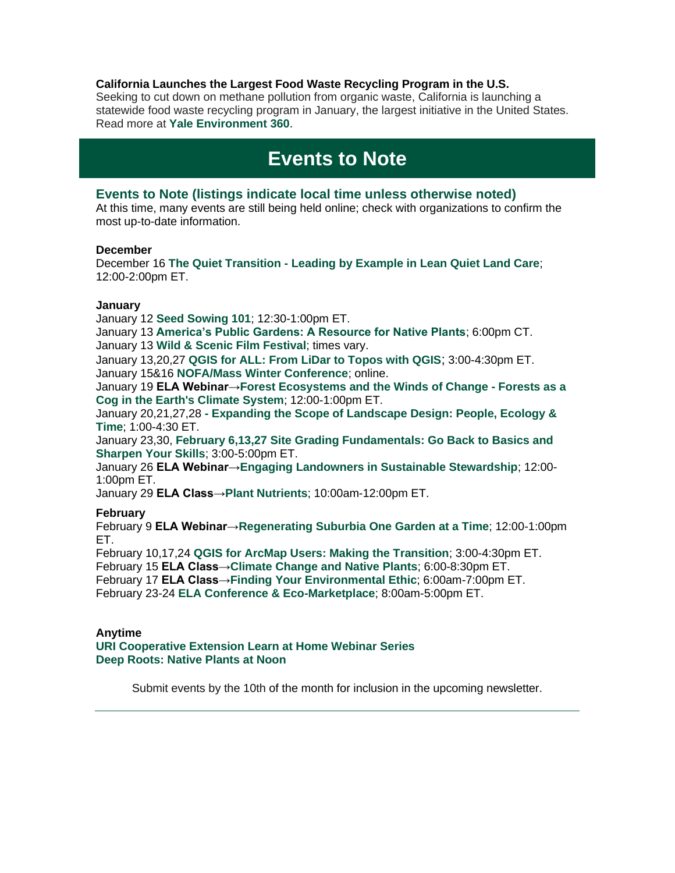#### **California Launches the Largest Food Waste Recycling Program in the U.S.**

Seeking to cut down on methane pollution from organic waste, California is launching a statewide food waste recycling program in January, the largest initiative in the United States. Read more at **[Yale Environment 360](https://r20.rs6.net/tn.jsp?f=001IZqFAGNN9wKMqxWmXjekIsY540JcLZyjYNhdiKW87EPCIMGmHIqGlF-av35yaJ-pqzM21BwELNXqkqaBQcq5xC30OG0o-ili38-9HuBrKQQzNpnNhmSSTCs0a7kIoGGAIMzosh-RKm-a1f67gq40y_o0SiihIJi1Kc6zktjU30FVcrBe6qtDQ4L_z63oq4vZjW9Q34ZA3ZJmWfifoTA3RMWkvOHmlH6US_z3mFn_XtMCOk_ePcWmsWjPmB7R8QNN&c=w9-lEzoSbRsZOWy6vlmE0fbSR-ITp2LcCOgQpKsvoB4u_GlIYYpq2A==&ch=-N6DkPvhqcXsrAmjtxihP4KCiApqhKu-VX6T2lttJaKHcui7Au-s8w==)**.

## **Events to Note**

#### **Events to Note (listings indicate local time unless otherwise noted)**

At this time, many events are still being held online; check with organizations to confirm the most up-to-date information.

#### **December**

December 16 **The Quiet Transition - [Leading by Example in Lean Quiet Land Care](https://r20.rs6.net/tn.jsp?f=001IZqFAGNN9wKMqxWmXjekIsY540JcLZyjYNhdiKW87EPCIMGmHIqGlF-av35yaJ-p2POmf_3vkCcLBUbTKskGPV6EwqZNCkRznAY4MB6IrGbXMJyIto7RRI81tY6wieTI04pr2QI5XsPT_1LCNK1pM6B7eqU2rxneQYtnofmDHDy_ZkpPbCmGSBGOIKHorD_2rvEfBnYlsPlbdagkA3Se3F90GCDWYxpi&c=w9-lEzoSbRsZOWy6vlmE0fbSR-ITp2LcCOgQpKsvoB4u_GlIYYpq2A==&ch=-N6DkPvhqcXsrAmjtxihP4KCiApqhKu-VX6T2lttJaKHcui7Au-s8w==)**; 12:00-2:00pm ET.

#### **January**

January 12 **[Seed Sowing 101](https://r20.rs6.net/tn.jsp?f=001IZqFAGNN9wKMqxWmXjekIsY540JcLZyjYNhdiKW87EPCIMGmHIqGlIOU9WRQgpqh3Mlg9TpJYrpTLoicifs9HUO82aJ43TqeU3N2mfrXTOSucJCLyvBC6MX_PCEhFuj4e-X2UG26gfVcf1vrSDEtgHXsBh7P4sME2LmJlBfglFFimu4dTQTO_2-hipHn3OiyNrnoIxjjf6xNwutrd9Mb63BeIYQd4bEDszs-uHFeDSg=&c=w9-lEzoSbRsZOWy6vlmE0fbSR-ITp2LcCOgQpKsvoB4u_GlIYYpq2A==&ch=-N6DkPvhqcXsrAmjtxihP4KCiApqhKu-VX6T2lttJaKHcui7Au-s8w==)**; 12:30-1:00pm ET.

January 13 **[America's Public Gardens: A Resource for Native Plants](https://r20.rs6.net/tn.jsp?f=001IZqFAGNN9wKMqxWmXjekIsY540JcLZyjYNhdiKW87EPCIMGmHIqGlF-av35yaJ-pD67f0Pw9IxPE07IvqBOFtQ9HT4QvXLY5C5GVAPf94R-2upDgd6ArVdDZN2ZPAQKdKROfQsIS2u3j0xnBqRsmoMGj2oeY2OclSjofnZ5iRWIpRoXGPeWUdKoKf_0s6MnW&c=w9-lEzoSbRsZOWy6vlmE0fbSR-ITp2LcCOgQpKsvoB4u_GlIYYpq2A==&ch=-N6DkPvhqcXsrAmjtxihP4KCiApqhKu-VX6T2lttJaKHcui7Au-s8w==)**; 6:00pm CT. January 13 **[Wild & Scenic Film Festival](https://r20.rs6.net/tn.jsp?f=001IZqFAGNN9wKMqxWmXjekIsY540JcLZyjYNhdiKW87EPCIMGmHIqGlF-av35yaJ-pB0h6uref7nxqkRp1GPAGIXsOsDrbfbkhYDHlr45gC1GHhj5SVB-Wu0bBErWc5nPRhsSK8AxrrE_OA0mRlh98oqWqjEpNVGPGajxakuiZC4Z-NIzuOI0Rs6stOXqKc7B7FetDVCd6q_2NmFnPw1PMBMRUGpbRh_C4tcR0N77lKe-VyRm7bHDDtcsEnW_2V_kyS2z9iSijCzmLr1to8WtIRGU1OXeCvDcod333EOEtDWh2VyshziSJo2SyqFWu0o8fAhtTZ8ldTjpqqRO3KZ-g8JXBovkfvyfbfWin8AubV7k6RmBudbzkrbpwJl45tlxppY8qlgWZmgaFAIlB0HZwMotd7vqrpkQTyAY7uWE3b5M5Nwax8PR6Ig7mp-aqF5DU&c=w9-lEzoSbRsZOWy6vlmE0fbSR-ITp2LcCOgQpKsvoB4u_GlIYYpq2A==&ch=-N6DkPvhqcXsrAmjtxihP4KCiApqhKu-VX6T2lttJaKHcui7Au-s8w==)**; times vary.

January 13,20,27 **[QGIS for ALL: From LiDar to Topos with QGIS](https://r20.rs6.net/tn.jsp?f=001IZqFAGNN9wKMqxWmXjekIsY540JcLZyjYNhdiKW87EPCIMGmHIqGlF-av35yaJ-prnZTVqzu3VPNUmf7dCDu9uJQzybo7DUkLtQjGqJGYncFeGRoP4juw68ZCpGsJ1Jrw-wPTKlPfpQFsbEEjjRHLjxtEYFczwoqLaYZ0r5NpuOCIii7X2a8JXa7ZRKp_6aV2FH5gIS6f0kSgA2LWvGqo47txrMgYv1ZZ-wb1vg_ogwsTexADOJUmYfLjqx6JXcAvTJVBuArPjkrRKcUk0o4jO5v77kM8Bq8iUuuRrcHdQAMqpPrx6SCJGsc5dWqitGJMXhaMwf8ZltFHyTabmAYnMJSTblO42RajE4ADauo3OnIXMvYMzur7oHtXHlC_MziCFKA8K4r23NMkjotX9MKzyLEvSCNfTxxx_iWU2MvYZe0Jue29G2zAYX3CTbF8lx1THVCpt_Xr_Y=&c=w9-lEzoSbRsZOWy6vlmE0fbSR-ITp2LcCOgQpKsvoB4u_GlIYYpq2A==&ch=-N6DkPvhqcXsrAmjtxihP4KCiApqhKu-VX6T2lttJaKHcui7Au-s8w==)**; 3:00-4:30pm ET. January 15&16 **[NOFA/Mass Winter Conference](https://r20.rs6.net/tn.jsp?f=001IZqFAGNN9wKMqxWmXjekIsY540JcLZyjYNhdiKW87EPCIMGmHIqGlIOU9WRQgpqhLlaRohz2R4qX5Xw40q5OwJIa7xGvnC86B_xzbRYQSHOAo6Qgp-RdWu73VAD3rMATOXUJadY6G_PvXiJZw4Gf5e4gfKbuDVpBNnbWyd3LtJ7H1zsaXWwEgSMY-Bv4Oukz&c=w9-lEzoSbRsZOWy6vlmE0fbSR-ITp2LcCOgQpKsvoB4u_GlIYYpq2A==&ch=-N6DkPvhqcXsrAmjtxihP4KCiApqhKu-VX6T2lttJaKHcui7Au-s8w==)**; online.

January 19 **ELA Webinar[→Forest Ecosystems and the Winds of Change -](https://r20.rs6.net/tn.jsp?f=001IZqFAGNN9wKMqxWmXjekIsY540JcLZyjYNhdiKW87EPCIMGmHIqGlIOU9WRQgpqhpIU8yKJ3fJuy-ESgcgnjXCLB3CrMWVG_-uJwDy_O-QdkgMlA10ejWBgO2__uLcflWV6pyuT_m2f6ACCDbMwGFcSpjkX3USxYXGnwWz8CIieM1HpAqff8wbA8mZQ_tLH86Bs5fFxJ9_mfErvH_sgdhdLOjAdV1EW2jOcblwn6QR__U0eNPqnk4OUwZBHlAOxdlKUVogZ0sMp7PaPyg-VhoFppUjyG-q_g4hjExBfimG0=&c=w9-lEzoSbRsZOWy6vlmE0fbSR-ITp2LcCOgQpKsvoB4u_GlIYYpq2A==&ch=-N6DkPvhqcXsrAmjtxihP4KCiApqhKu-VX6T2lttJaKHcui7Au-s8w==) Forests as a [Cog in the Earth's Climate System](https://r20.rs6.net/tn.jsp?f=001IZqFAGNN9wKMqxWmXjekIsY540JcLZyjYNhdiKW87EPCIMGmHIqGlIOU9WRQgpqhpIU8yKJ3fJuy-ESgcgnjXCLB3CrMWVG_-uJwDy_O-QdkgMlA10ejWBgO2__uLcflWV6pyuT_m2f6ACCDbMwGFcSpjkX3USxYXGnwWz8CIieM1HpAqff8wbA8mZQ_tLH86Bs5fFxJ9_mfErvH_sgdhdLOjAdV1EW2jOcblwn6QR__U0eNPqnk4OUwZBHlAOxdlKUVogZ0sMp7PaPyg-VhoFppUjyG-q_g4hjExBfimG0=&c=w9-lEzoSbRsZOWy6vlmE0fbSR-ITp2LcCOgQpKsvoB4u_GlIYYpq2A==&ch=-N6DkPvhqcXsrAmjtxihP4KCiApqhKu-VX6T2lttJaKHcui7Au-s8w==)**; 12:00-1:00pm ET.

January 20,21,27,28 **- [Expanding the Scope of Landscape Design: People, Ecology &](https://r20.rs6.net/tn.jsp?f=001IZqFAGNN9wKMqxWmXjekIsY540JcLZyjYNhdiKW87EPCIMGmHIqGlF-av35yaJ-pdTC3QF7rLca5AkD5OAlPLbZ6aejAP2JU-s5o-TCdD1m__QuoRUd62E4-xiuZlc2ru22QCufIUNq_XN94T_45i2NNjLnqy3_OWiOtwzVz2Me5X9XkichuwH61cxtXMEGEtpfQ5YQF9R49htAvPf2k-VhHI1kth5d_&c=w9-lEzoSbRsZOWy6vlmE0fbSR-ITp2LcCOgQpKsvoB4u_GlIYYpq2A==&ch=-N6DkPvhqcXsrAmjtxihP4KCiApqhKu-VX6T2lttJaKHcui7Au-s8w==)  [Time](https://r20.rs6.net/tn.jsp?f=001IZqFAGNN9wKMqxWmXjekIsY540JcLZyjYNhdiKW87EPCIMGmHIqGlF-av35yaJ-pdTC3QF7rLca5AkD5OAlPLbZ6aejAP2JU-s5o-TCdD1m__QuoRUd62E4-xiuZlc2ru22QCufIUNq_XN94T_45i2NNjLnqy3_OWiOtwzVz2Me5X9XkichuwH61cxtXMEGEtpfQ5YQF9R49htAvPf2k-VhHI1kth5d_&c=w9-lEzoSbRsZOWy6vlmE0fbSR-ITp2LcCOgQpKsvoB4u_GlIYYpq2A==&ch=-N6DkPvhqcXsrAmjtxihP4KCiApqhKu-VX6T2lttJaKHcui7Au-s8w==)**; 1:00-4:30 ET.

January 23,30, **[February 6,13,27 Site Grading Fundamentals: Go Back to Basics and](https://r20.rs6.net/tn.jsp?f=001IZqFAGNN9wKMqxWmXjekIsY540JcLZyjYNhdiKW87EPCIMGmHIqGlF-av35yaJ-prnZTVqzu3VPNUmf7dCDu9uJQzybo7DUkLtQjGqJGYncFeGRoP4juw68ZCpGsJ1Jrw-wPTKlPfpQFsbEEjjRHLjxtEYFczwoqLaYZ0r5NpuOCIii7X2a8JXa7ZRKp_6aV2FH5gIS6f0kSgA2LWvGqo47txrMgYv1ZZ-wb1vg_ogwsTexADOJUmYfLjqx6JXcAvTJVBuArPjkrRKcUk0o4jO5v77kM8Bq8iUuuRrcHdQAMqpPrx6SCJGsc5dWqitGJMXhaMwf8ZltFHyTabmAYnMJSTblO42RajE4ADauo3OnIXMvYMzur7oHtXHlC_MziCFKA8K4r23NMkjotX9MKzyLEvSCNfTxxx_iWU2MvYZe0Jue29G2zAYX3CTbF8lx1THVCpt_Xr_Y=&c=w9-lEzoSbRsZOWy6vlmE0fbSR-ITp2LcCOgQpKsvoB4u_GlIYYpq2A==&ch=-N6DkPvhqcXsrAmjtxihP4KCiApqhKu-VX6T2lttJaKHcui7Au-s8w==)  [Sharpen Your Skills](https://r20.rs6.net/tn.jsp?f=001IZqFAGNN9wKMqxWmXjekIsY540JcLZyjYNhdiKW87EPCIMGmHIqGlF-av35yaJ-prnZTVqzu3VPNUmf7dCDu9uJQzybo7DUkLtQjGqJGYncFeGRoP4juw68ZCpGsJ1Jrw-wPTKlPfpQFsbEEjjRHLjxtEYFczwoqLaYZ0r5NpuOCIii7X2a8JXa7ZRKp_6aV2FH5gIS6f0kSgA2LWvGqo47txrMgYv1ZZ-wb1vg_ogwsTexADOJUmYfLjqx6JXcAvTJVBuArPjkrRKcUk0o4jO5v77kM8Bq8iUuuRrcHdQAMqpPrx6SCJGsc5dWqitGJMXhaMwf8ZltFHyTabmAYnMJSTblO42RajE4ADauo3OnIXMvYMzur7oHtXHlC_MziCFKA8K4r23NMkjotX9MKzyLEvSCNfTxxx_iWU2MvYZe0Jue29G2zAYX3CTbF8lx1THVCpt_Xr_Y=&c=w9-lEzoSbRsZOWy6vlmE0fbSR-ITp2LcCOgQpKsvoB4u_GlIYYpq2A==&ch=-N6DkPvhqcXsrAmjtxihP4KCiApqhKu-VX6T2lttJaKHcui7Au-s8w==)**; 3:00-5:00pm ET.

January 26 **ELA Webinar[→Engaging Landowners in Sustainable Stewardship](https://r20.rs6.net/tn.jsp?f=001IZqFAGNN9wKMqxWmXjekIsY540JcLZyjYNhdiKW87EPCIMGmHIqGlIOU9WRQgpqh17nAKXAEfhLEh-2qoZMbA_rDvV18GMZjl98kty6weo4a4AskyXQt1cb7FJEnzo0Of_nbxXAOT1MnF6iPWFG8WtK-hxXGc1-8qlioPy3kY6PWgcs0kFKlq8hrxBvO6YbsHF54Mdgz3or_5a8aj-qBpP0BdoLA7K9KWvCGXFjVeDcJ-S4EMTndWg==&c=w9-lEzoSbRsZOWy6vlmE0fbSR-ITp2LcCOgQpKsvoB4u_GlIYYpq2A==&ch=-N6DkPvhqcXsrAmjtxihP4KCiApqhKu-VX6T2lttJaKHcui7Au-s8w==)**; 12:00- 1:00pm ET.

January 29 **ELA Class[→Plant Nutrients](https://r20.rs6.net/tn.jsp?f=001IZqFAGNN9wKMqxWmXjekIsY540JcLZyjYNhdiKW87EPCIMGmHIqGlIOU9WRQgpqhAv4gwroRCnM4dESTfe6rGubDzmNQ-07IKJ8bZSvka2dxNDeRV0iJ_pj7Cvy59AGkW4uAHTdQaH7xn2T5oBaAYezUHtoJZNf-NxtRtFc7MzxTLgpUL42u143UDpdzQiM9h7aJ2PFljXo=&c=w9-lEzoSbRsZOWy6vlmE0fbSR-ITp2LcCOgQpKsvoB4u_GlIYYpq2A==&ch=-N6DkPvhqcXsrAmjtxihP4KCiApqhKu-VX6T2lttJaKHcui7Au-s8w==)**; 10:00am-12:00pm ET.

#### **February**

February 9 **ELA Webinar[→Regenerating Suburbia One Garden at a Time](https://r20.rs6.net/tn.jsp?f=001IZqFAGNN9wKMqxWmXjekIsY540JcLZyjYNhdiKW87EPCIMGmHIqGlIOU9WRQgpqh4bs7PltO-3yQMNXgs4RdwrJPtpG3osC5FDdU8j6SUqPIkYdD6mxk0IGY78Ur9DOzB0jtUdFaHSSmbVu_jbeGNr8RatkDpVZZkwV31WUjhwr9uo8uQgx6Lk036aCtOg3LB9pJIVnX6mY=&c=w9-lEzoSbRsZOWy6vlmE0fbSR-ITp2LcCOgQpKsvoB4u_GlIYYpq2A==&ch=-N6DkPvhqcXsrAmjtxihP4KCiApqhKu-VX6T2lttJaKHcui7Au-s8w==)**; 12:00-1:00pm ET.

February 10,17,24 **[QGIS for ArcMap Users: Making the Transition](https://r20.rs6.net/tn.jsp?f=001IZqFAGNN9wKMqxWmXjekIsY540JcLZyjYNhdiKW87EPCIMGmHIqGlF-av35yaJ-prnZTVqzu3VPNUmf7dCDu9uJQzybo7DUkLtQjGqJGYncFeGRoP4juw68ZCpGsJ1Jrw-wPTKlPfpQFsbEEjjRHLjxtEYFczwoqLaYZ0r5NpuOCIii7X2a8JXa7ZRKp_6aV2FH5gIS6f0kSgA2LWvGqo47txrMgYv1ZZ-wb1vg_ogwsTexADOJUmYfLjqx6JXcAvTJVBuArPjkrRKcUk0o4jO5v77kM8Bq8iUuuRrcHdQAMqpPrx6SCJGsc5dWqitGJMXhaMwf8ZltFHyTabmAYnMJSTblO42RajE4ADauo3OnIXMvYMzur7oHtXHlC_MziCFKA8K4r23NMkjotX9MKzyLEvSCNfTxxx_iWU2MvYZe0Jue29G2zAYX3CTbF8lx1THVCpt_Xr_Y=&c=w9-lEzoSbRsZOWy6vlmE0fbSR-ITp2LcCOgQpKsvoB4u_GlIYYpq2A==&ch=-N6DkPvhqcXsrAmjtxihP4KCiApqhKu-VX6T2lttJaKHcui7Au-s8w==)**; 3:00-4:30pm ET.

February 15 **ELA Class[→Climate Change and Native Plants](https://r20.rs6.net/tn.jsp?f=001IZqFAGNN9wKMqxWmXjekIsY540JcLZyjYNhdiKW87EPCIMGmHIqGlIOU9WRQgpqhU_c-fBLbGLgdmV53OPe265IzEFt5lIEMJRtDp2sJl0cAy2EE4Pb0zmmFEmbQ85UU2A6VNUIJrKr_wetLVjfRYcR_7MTDPZTfUBzj5eTuBXavwMMUcDyJy3NunsvGhBV967R6UbY4RRmsxQqRfVvjIgYb9VaUFzj8&c=w9-lEzoSbRsZOWy6vlmE0fbSR-ITp2LcCOgQpKsvoB4u_GlIYYpq2A==&ch=-N6DkPvhqcXsrAmjtxihP4KCiApqhKu-VX6T2lttJaKHcui7Au-s8w==)**; 6:00-8:30pm ET.

February 17 **ELA Class[→Finding Your Environmental Ethic](https://r20.rs6.net/tn.jsp?f=001IZqFAGNN9wKMqxWmXjekIsY540JcLZyjYNhdiKW87EPCIMGmHIqGlIOU9WRQgpqhB8fK5wiQ1hLzroMk7Y66BM8WJNTDLWEOn24HBPhZFnycP9TNp11wRvOOB-OPallK22NGXTyaDFsVWqeavT-oP6pCXzfR0SNVwza6fvRHUZ33leqOZnjwnM5z-DUK5dZGv58HNDbdtgVo8jtci-tme0zMPr0u48FV&c=w9-lEzoSbRsZOWy6vlmE0fbSR-ITp2LcCOgQpKsvoB4u_GlIYYpq2A==&ch=-N6DkPvhqcXsrAmjtxihP4KCiApqhKu-VX6T2lttJaKHcui7Au-s8w==)**; 6:00am-7:00pm ET.

February 23-24 **[ELA Conference & Eco-Marketplace](https://r20.rs6.net/tn.jsp?f=001IZqFAGNN9wKMqxWmXjekIsY540JcLZyjYNhdiKW87EPCIMGmHIqGlIOU9WRQgpqhxiqUEwXNKshL0IlNTfhAw7-iX3bQHqkc-19DSr4oH241Eyq_X1LSx5LtWNYASSmcEx_c45moAxOcjcYDDrpeiBslo5Bl57DfZjzq-tURi34dt5Jzk5m-51rO5VWDPFLc4FehMovDC6Q5CERwXGW_Cw==&c=w9-lEzoSbRsZOWy6vlmE0fbSR-ITp2LcCOgQpKsvoB4u_GlIYYpq2A==&ch=-N6DkPvhqcXsrAmjtxihP4KCiApqhKu-VX6T2lttJaKHcui7Au-s8w==)**; 8:00am-5:00pm ET.

#### **Anytime**

**[URI Cooperative Extension Learn at Home Webinar Series](https://r20.rs6.net/tn.jsp?f=001AFho08mAnEeBmz843iFWK8NKptjui6lRFEStwzlCyIpUGk5-t9o9e7r1DyUwwx1Zr9ncQo5XvcR251wOMS6rhvmkv80tJ_DW2CLG3eZid2f06skFVz0FEQYsW6y1_cJA4Z13vcSjJj0DTe9oidO8dFb-bsexlUvPweU9jEPfoVQ8_rAXBI0XaIfC51ZFSAYU5up4I7Gnk3AG6x6AWiBIyI4ezJ_2LuvvRSCHfRNyURTp0g-DgZ7Rbw==&c=FELuz_3rfOF6ckbIZGoXYyALx-ce3Pd95vX4qveq6z1wABV3wVGjDQ==&ch=uc69vArgMunqwA4qRtremhqjJJzC5bKqRJOhou9QRAZEkHUgBjD5RQ==) [Deep Roots: Native Plants at Noon](https://r20.rs6.net/tn.jsp?f=001IZqFAGNN9wKMqxWmXjekIsY540JcLZyjYNhdiKW87EPCIMGmHIqGlNC3L693MpXyiu4Fkggfxip1hkLN28Ry-BXuyYzSxlWWr7Qh7U3M66WtzANGMywiXdstI0U2erRjxBTfFfQPcliV8aSGTL1OO5VliafvVuxC&c=w9-lEzoSbRsZOWy6vlmE0fbSR-ITp2LcCOgQpKsvoB4u_GlIYYpq2A==&ch=-N6DkPvhqcXsrAmjtxihP4KCiApqhKu-VX6T2lttJaKHcui7Au-s8w==)** 

Submit events by the 10th of the month for inclusion in the upcoming newsletter.